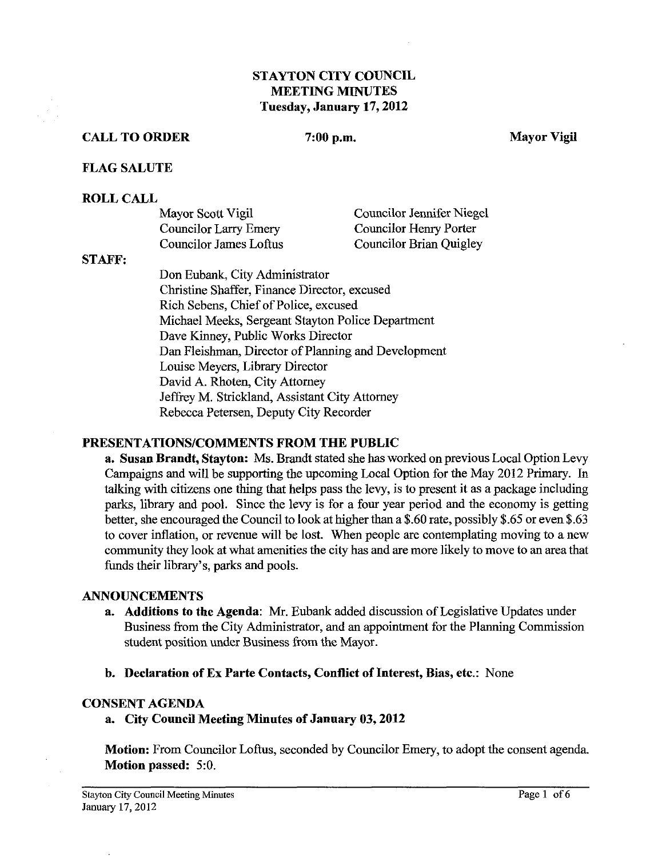## **STAYTON CITY COUNCIL MEETING MINUTES Tuesday, January 17,2012**

### **CALL TO ORDER** 7:00 p.m. Mayor Vigil

#### **FLAG SALUTE**

#### **ROLL CALL**

| Mayor Scott Vigil      | Councilor Jennifer Niegel      |
|------------------------|--------------------------------|
| Councilor Larry Emery  | Councilor Henry Porter         |
| Councilor James Loftus | <b>Councilor Brian Quigley</b> |

#### STAFF:

Don Eubank, City Administrator Christine Shaffer, Finance Director, excused Rich Sebens, Chief of Police, excused Michael Meeks, Sergeant Stayton Police Department Dave Kinney, Public Works Director Dan Fleishman, Director of Planning and Development Louise Meyers, Library Director David A. Rhoten, City Attorney Jeffiey M. Strickland, Assistant City Attorney Rebecca Petersen, Deputy City Recorder

### **PRESENTATIONSICOMMENTS FROM THE PUBLIC**

**a. Susan Brandt, Stayton: Ms.** Brandt stated she has worked on previous Local Option Levy Campaigns and will be supporting the upcoming Local Option for the May 2012 Primary. In talking with citizens one thing that helps pass the levy, is to present it as a package including parks, library and pool. Since the levy is for a four year period and the economy is getting better, she encouraged the Council to look at higher than a \$.60 rate, possibly \$.65 or even \$.63 to cover inflation, or revenue will be lost. When people are contemplating moving to a new community they look at what amenities the city has and are more likely to move to an area that funds their library's, parks and pools.

#### **ANNOUNCEMENTS**

- **a. Additions to the Agenda: Mr.** Eubank added discussion of Legislative Updates under Business from the City Administrator, and an appointment for the Planning Commission student position under Business from the Mayor.
- **b. Declaration of Ex Parte Contacts, Conflict of Interest, Bias, etc.:** None

#### **CONSENT AGENDA**

**a. City Council Meeting Minutes of January 03,2012** 

**Motion:** From Councilor Loftus, seconded by Councilor Emery, to adopt the consent agenda. **Motion passed:** 5:O.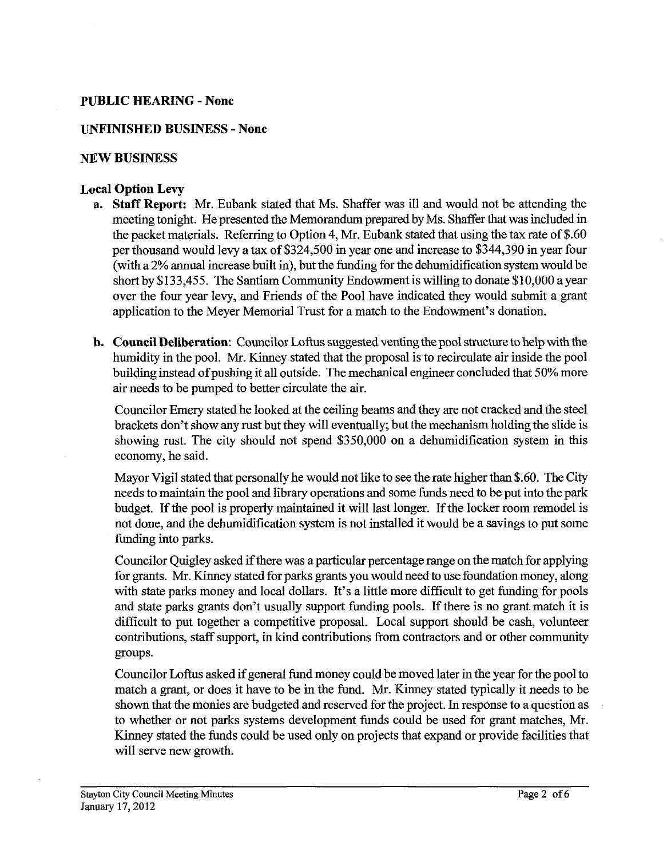## **PUBLIC HEARING** - **None**

## **UNFINISHED BUSINESS** - **None**

#### **NEW BUSINESS**

### **Local Option Levy**

- **a. Staff Report: Mr.** Eubank stated that Ms. Shaffer was ill and would not be attending the meeting tonight. He presented the Memorandum prepared by Ms. Shaffer that was included in the packet materials. Referring to Option 4, Mr. Eubank stated that using the tax rate of \$.60 per thousand would levy a tax of \$324,500 in year one and increase to \$344,390 in year four (with a 2% annual increase built in), but the funding for the dehumidification system would be short by \$133,455. The Santiam Community Endowment is willing to donate \$10,000 a year over the four year levy, and Friends of the Pool have indicated they would submit a grant application to the Meyer Memorial Trust for a match to the Endowment's donation.
- b. **Council Deliberation:** Councilor Loftus suggested venting the pool structure to help with the humidity in the pool. Mr. Kinney stated that the proposal is to recirculate air inside the pool building instead of pushing it all outside. The mechanical engineer concluded that 50% more *air* needs to be pumped to better circulate the *air.*

Councilor Emery stated he looked at the ceiling beams and they are not cracked and the steel brackets don't show any rust but they will eventually; but the mechanism holding the slide is showing rust. The city should not spend \$350,000 on a dehumidification system in this economy, he said.

Mayor Vigil stated that personally he would not like to see the rate higher than \$.60. The City needs to maintain the pool and library operations and some funds need to be put into the park budget. If the pool is properly maintained it will last longer. If the locker room remodel is not done, and the dehumidification system is not installed it would be a savings to put some funding into parks.

Councilor Quigley asked if there was a particular percentage range on the match for applying for grants. Mr. Kinney stated for parks grants you would need to use foundation money, along with state parks money and local dollars. It's a little more difficult to get funding for pools and state parks grants don't usually support funding pools. If there is no grant match it is difficult to put together a competitive proposal. Local support should be cash, volunteer contributions, staff support, in kind contributions fiom contractors and or other community groups.

Councilor Loftus asked if general fund money could be moved later in the year for the pool to match a grant, or does it have to be in the fund. Mr. Kinney stated typically it needs to be shown that the monies are budgeted and reserved for the project. In response to a question as to whether or not parks systems development funds could be used for grant matches, Mr. Kinney stated the funds could be used only on projects that expand or provide facilities that will serve new growth.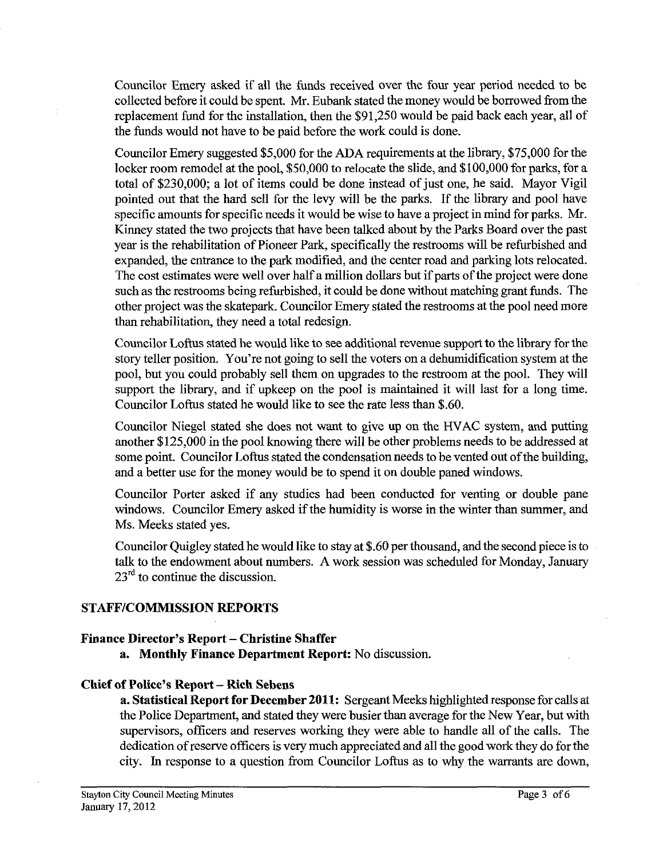Councilor Emery asked if all the funds received over the four year period needed to be collected before it could be spent. Mr. Eubank stated the money would be borrowed fiomthe replacement fund for the installation, then the \$91,250 would be paid back each year, all of the funds would not have to be paid before the work could is done.

Councilor Emery suggested \$5,000 for the ADA requirements at the library, \$75,000 for the locker room remodel at the pool, \$50,000 to relocate the slide, and \$100,000 for parks, for a total of \$230,000; a lot of items could be done instead of just one, he said. Mayor Vigil pointed out that the hard sell for the levy will be the parks. If the library and pool have specific amounts for specific needs it would be wise to have a project in mind for parks. Mr. Kinney stated the two projects that have been talked about by the Parks Board over the past year is the rehabilitation of Pioneer Park, specifically the restrooms will be refurbished and expanded, the entrance to the park modified, and the center road and parking lots relocated. The cost estimates were well over half a million dollars but if parts of the project were done such as the restrooms being refurbished, it could be done without matching grant funds. The other project was the skatepark. Councilor Emery stated the restrooms at the pool need more than rehabilitation, they need a total redesign.

Councilor Loftus stated he would like to see additional revenue support to the library forthe story teller position. You're not going to sell the voters on a dehumidification system at the pool, but you could probably sell them on upgrades to the restroom at the pool. They will support the library, and if upkeep on the pool is maintained it will last for a long time. Councilor Loftus stated he would like to see the rate less than \$.60.

Councilor Niegel stated she does not want to give up on the HVAC system, and putting another \$125,000 in the pool knowing there will be other problems needs to be addressed at some point. Councilor Loftus stated the condensation needs to be vented out of the building, and a better use for the money would be to spend it on double paned windows.

Councilor Porter asked if any studies had been conducted for venting or double pane windows. Councilor Emery asked if the humidity is worse in the winter than summer, and Ms. Meeks stated yes.

Councilor Quigley stated he would like to stay at \$.60 per thousand, and the second piece is to talk to the endowment about numbers. A work session was scheduled for Monday, January 23<sup>rd</sup> to continue the discussion.

# **STAFFICOMMISSION REPORTS**

### **Finance Director's Report – Christine Shaffer**

**a. Monthly Finance Department Report:** No discussion.

### **Chief of Police's Report** - **Rich Sebens**

**a. Statistical Report for December 2011:** Sergeant Meeks highlighted response for calls at the Police Department, and stated they were busier than average for the New Year, but with supervisors, officers and reserves working they were able to handle all of the calls. The dedication of reserve officers is very much appreciated and all the good work they do for the city. In response to a question fiom Councilor Loftus as to why the warrants are down,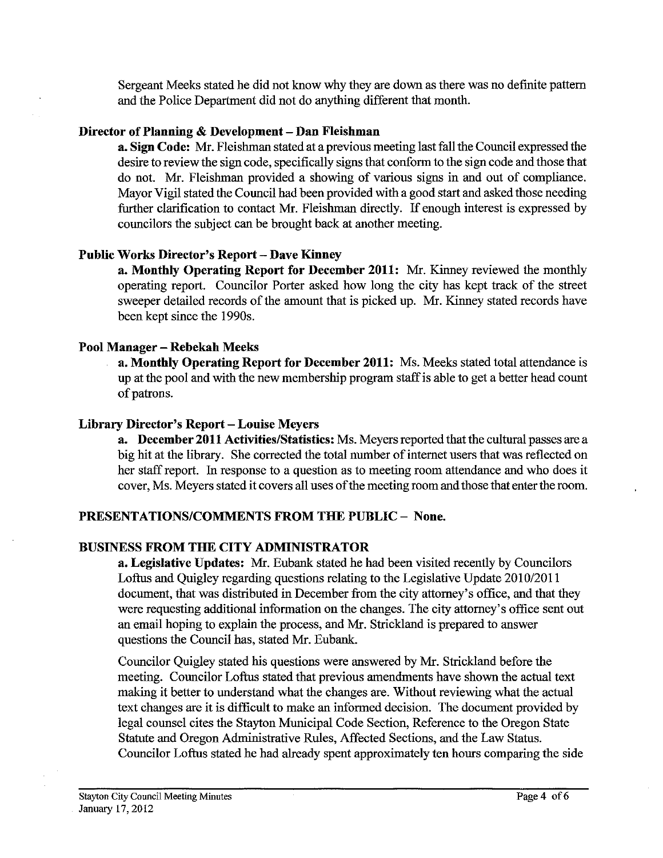Sergeant Meeks stated he did not know why they are down as there was no definte pattern and the Police Department did not do anything different that month.

## **Director of Planning** & **Development** - **Dan Fleishman**

**a. Sign Code:** Mr. Fleishman stated at a previous meeting last fall the Council expressed the desire to review the sign code, specifically signs that conform to the sign code and those that do not. Mr. Fleishman provided a showing of various signs in and out of compliance. Mayor Vigil stated the Council had been provided with a good start and asked those needing further clarification to contact Mr. Fleishman directly. If enough interest is expressed by councilors the subject can be brought back at another meeting.

# **Public Works Director's Report** - **Dave Kinney**

**a. Monthly Operating Report for December 2011:** Mr. Kinney reviewed the monthly operating report. Councilor Porter asked how long the city **has** kept track of the street sweeper detailed records of the amount that is picked up. Mr. Kinney stated records have been kept since the 1990s.

## **Pool Manager** - **Rebekah Meeks**

**a. Monthly Operating Report for December 2011:** Ms. Meeks stated total attendance is up at the pool and with the new membership program staff is able to get a better head count of patrons.

## Library Director's Report - Louise Meyers

**a. December 2011 Activities/Statistics:** Ms. Meyers reported that the cultural passes are a big hit at the library. She corrected the total number of internet users that was reflected on her staff report. In response to a question as to meeting room attendance and who does it cover, Ms. Meyers stated it covers all uses of the meeting room and those that enter the room.

# **PRESENTATIONSICOMMENTS FROM THE PUBLIC** - **None.**

# **BUSINESS FROM THE CITY ADMINISTRATOR**

**a. Legislative Updates: Mr.** Eubank stated he had been visited recently by Councilors Loftus and Quigley regarding questions relating to the Legislative Update 2010/2011 document, that was distributed in December from the city attorney's office, and that they were requesting additional information on the changes. The city attorney's office sent out an email hoping to explain the process, and Mr. Strickland is prepared to answer questions the Council has, stated Mr. Eubank.

Councilor Quigley stated his questions were answered by Mr. Strickland before the meeting. Councilor Loftus stated that previous amendments have shown the actual text making it better to understand what the changes are. Without reviewing what the actual text changes are it is difficult to make an informed decision. The document provided by legal counsel cites the Stayton Municipal Code Section, Reference to the Oregon State Statute and Oregon Administrative Rules, Affected Sections, and the Law Status. Councilor Loftus stated he had already spent approximately ten hours comparing the side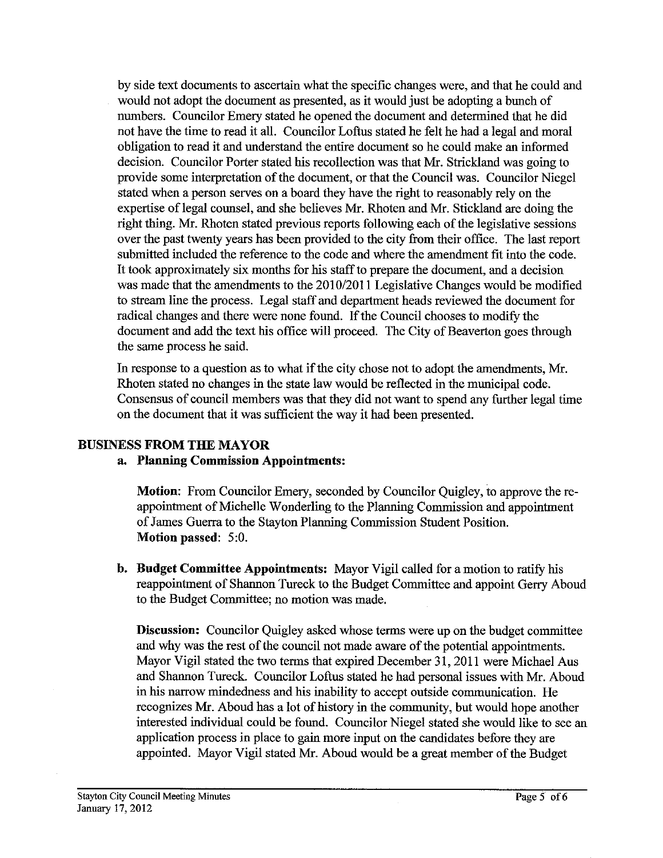by side text documents to ascertain what the specific changes were, and that he could and would not adopt the document as presented, as it would just be adopting a bunch of numbers. Councilor Emery stated he opened the document and determined that he did not have the time to read it all. Councilor Loftus stated he felt he had a legal and moral obligation to read it and understand the entire document so he could make an informed decision. Councilor Porter stated his recollection was that Mr. Strickland was going to provide some interpretation of the document, or that the Council was. Councilor Niegel stated when a person serves on a board they have the right to reasonably rely on the expertise of legal counsel, and she believes Mr. Rhoten and Mr. Stickland are doing the right thing. Mr. Rhoten stated previous reports following each of the legislative sessions over the past twenty years has been provided to the city fiom their office. The last report submitted included the reference to the code and where the amendment fit into the code. It took approximately six months for his staff to prepare the document, and a decision was made that the amendments to the 2010/2011 Legislative Changes would be modified to stream line the process. Legal staff and department heads reviewed the document for radical changes and there were none found. If the Council chooses to modify the document and add the text his office will proceed. The City of Beaverton goes through the same process he said.

In response to a question as to what if the city chose not to adopt the amendments, Mr. Rhoten stated no changes in the state law would be reflected in the municipal code. Consensus of council members was that they did not want to spend any further legal time on the document that it was sufficient the way it had been presented.

# **BUSLNESS PROM THE MAYOR**

# **a. Planning Commission Appointments:**

**Motion:** From Councilor Emery, seconded by Councilor Quigley, to approve the reappointment of Michelle Wonderling to the Planning commission and appointment of James Guerra to the Stayton Planning Commission Student Position. **Motion passed:** 5:O.

**b. Budget Committee Appointments:** Mayor Vigil called for a motion to ratify his reappointment of Shannon Tureck to the Budget Committee and appoint Geny Aboud to the Budget Committee; no motion was made.

**Discussion:** Councilor Quigley asked whose terms were up on the budget committee and why was the rest of the council not made aware of the potential appointments. Mayor Vigil stated the two terms that expired December **3** 1,201 1 were Michael Aus and Shannon Tureck. Councilor Loftus stated he had personal issues with Mr. Aboud in his narrow mindedness and his inability to accept outside communication. He recognizes Mr. Aboud has a lot of history in the community, but would hope another interested individual could be found. Councilor Niegel stated she would like to see an application process in place to gain more input on the candidates before they are appointed. Mayor Vigil stated Mr. Aboud would be a great member of the Budget